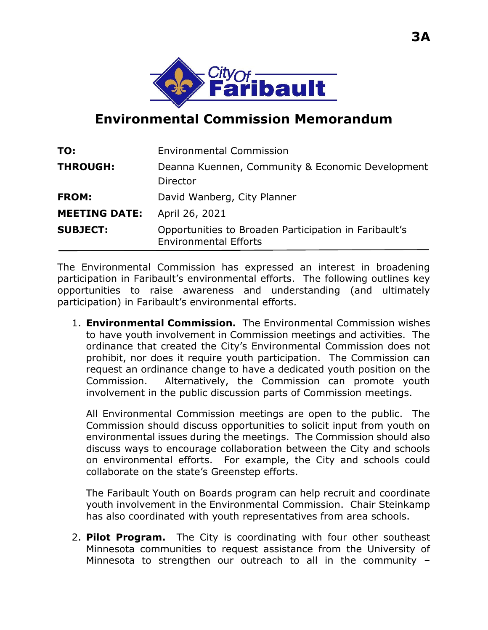

## **Environmental Commission Memorandum**

| TO:                  | <b>Environmental Commission</b>                                                       |
|----------------------|---------------------------------------------------------------------------------------|
| <b>THROUGH:</b>      | Deanna Kuennen, Community & Economic Development<br>Director                          |
| <b>FROM:</b>         | David Wanberg, City Planner                                                           |
| <b>MEETING DATE:</b> | April 26, 2021                                                                        |
| <b>SUBJECT:</b>      | Opportunities to Broaden Participation in Faribault's<br><b>Environmental Efforts</b> |

The Environmental Commission has expressed an interest in broadening participation in Faribault's environmental efforts. The following outlines key opportunities to raise awareness and understanding (and ultimately participation) in Faribault's environmental efforts.

1. **Environmental Commission.** The Environmental Commission wishes to have youth involvement in Commission meetings and activities. The ordinance that created the City's Environmental Commission does not prohibit, nor does it require youth participation. The Commission can request an ordinance change to have a dedicated youth position on the Commission. Alternatively, the Commission can promote youth involvement in the public discussion parts of Commission meetings.

All Environmental Commission meetings are open to the public. The Commission should discuss opportunities to solicit input from youth on environmental issues during the meetings. The Commission should also discuss ways to encourage collaboration between the City and schools on environmental efforts. For example, the City and schools could collaborate on the state's Greenstep efforts.

The Faribault Youth on Boards program can help recruit and coordinate youth involvement in the Environmental Commission. Chair Steinkamp has also coordinated with youth representatives from area schools.

2. **Pilot Program.** The City is coordinating with four other southeast Minnesota communities to request assistance from the University of Minnesota to strengthen our outreach to all in the community –